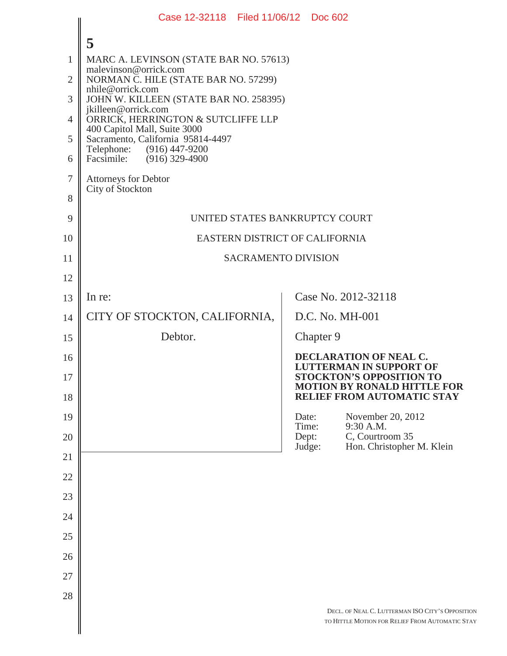|                | Case 12-32118 Filed 11/06/12 Doc 602                                                                                           |                                |           |                                                                                                     |  |
|----------------|--------------------------------------------------------------------------------------------------------------------------------|--------------------------------|-----------|-----------------------------------------------------------------------------------------------------|--|
|                | 5                                                                                                                              |                                |           |                                                                                                     |  |
| 1              | MARC A. LEVINSON (STATE BAR NO. 57613)                                                                                         |                                |           |                                                                                                     |  |
| $\overline{2}$ | malevinson@orrick.com<br>NORMAN C. HILE (STATE BAR NO. 57299)                                                                  |                                |           |                                                                                                     |  |
| 3              | nhile@orrick.com<br>JOHN W. KILLEEN (STATE BAR NO. 258395)                                                                     |                                |           |                                                                                                     |  |
| $\overline{4}$ | jkilleen@orrick.com<br>ORRICK, HERRINGTON & SUTCLIFFE LLP<br>400 Capitol Mall, Suite 3000<br>Sacramento, California 95814-4497 |                                |           |                                                                                                     |  |
| 5              |                                                                                                                                |                                |           |                                                                                                     |  |
| 6              | Telephone: (916) 447-9200<br>Facsimile:<br>$(916)$ 329-4900                                                                    |                                |           |                                                                                                     |  |
| $\tau$         | <b>Attorneys for Debtor</b>                                                                                                    |                                |           |                                                                                                     |  |
| 8              | City of Stockton                                                                                                               |                                |           |                                                                                                     |  |
| 9              | UNITED STATES BANKRUPTCY COURT                                                                                                 |                                |           |                                                                                                     |  |
| 10             |                                                                                                                                | EASTERN DISTRICT OF CALIFORNIA |           |                                                                                                     |  |
| 11             | <b>SACRAMENTO DIVISION</b>                                                                                                     |                                |           |                                                                                                     |  |
| 12             |                                                                                                                                |                                |           |                                                                                                     |  |
| 13             | In re:                                                                                                                         |                                |           | Case No. 2012-32118                                                                                 |  |
| 14             | CITY OF STOCKTON, CALIFORNIA,                                                                                                  |                                |           | D.C. No. MH-001                                                                                     |  |
| 15             | Debtor.                                                                                                                        |                                | Chapter 9 |                                                                                                     |  |
| 16             |                                                                                                                                |                                |           | DECLARATION OF NEAL C.                                                                              |  |
| 17             |                                                                                                                                |                                |           | <b>LUTTERMAN IN SUPPORT OF</b><br><b>STOCKTON'S OPPOSITION TO</b>                                   |  |
| 18             |                                                                                                                                |                                |           | <b>MOTION BY RONALD HITTLE FOR</b><br>RELIEF FROM AUTOMATIC STAY                                    |  |
| 19             |                                                                                                                                | Date:<br>Time:                 |           | November 20, 2012<br>9:30 A.M.                                                                      |  |
| 20             |                                                                                                                                | Dept:<br>Judge:                |           | C, Courtroom 35<br>Hon. Christopher M. Klein                                                        |  |
| 21             |                                                                                                                                |                                |           |                                                                                                     |  |
| 22             |                                                                                                                                |                                |           |                                                                                                     |  |
| 23             |                                                                                                                                |                                |           |                                                                                                     |  |
| 24             |                                                                                                                                |                                |           |                                                                                                     |  |
| 25             |                                                                                                                                |                                |           |                                                                                                     |  |
| 26             |                                                                                                                                |                                |           |                                                                                                     |  |
| 27             |                                                                                                                                |                                |           |                                                                                                     |  |
| 28             |                                                                                                                                |                                |           |                                                                                                     |  |
|                |                                                                                                                                |                                |           | DECL. OF NEAL C. LUTTERMAN ISO CITY'S OPPOSITION<br>TO HITTLE MOTION FOR RELIEF FROM AUTOMATIC STAY |  |
|                |                                                                                                                                |                                |           |                                                                                                     |  |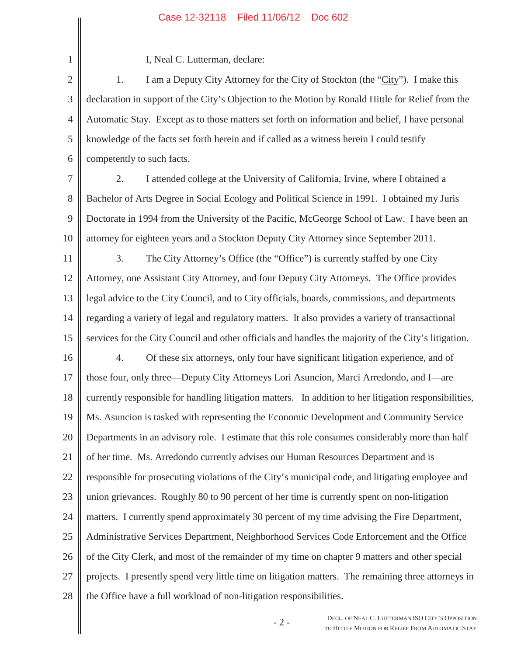## Case 12-32118 Filed 11/06/12 Doc 602

I, Neal C. Lutterman, declare:

1

2 3 4 5 6 1. I am a Deputy City Attorney for the City of Stockton (the "City"). I make this declaration in support of the City's Objection to the Motion by Ronald Hittle for Relief from the Automatic Stay. Except as to those matters set forth on information and belief, I have personal knowledge of the facts set forth herein and if called as a witness herein I could testify competently to such facts.

7 8 9 10 2. I attended college at the University of California, Irvine, where I obtained a Bachelor of Arts Degree in Social Ecology and Political Science in 1991. I obtained my Juris Doctorate in 1994 from the University of the Pacific, McGeorge School of Law. I have been an attorney for eighteen years and a Stockton Deputy City Attorney since September 2011.

11 12 13 14 15 16 17 18 19 20 21 22 23 24 25 26 27 28 3. The City Attorney's Office (the "Office") is currently staffed by one City Attorney, one Assistant City Attorney, and four Deputy City Attorneys. The Office provides legal advice to the City Council, and to City officials, boards, commissions, and departments regarding a variety of legal and regulatory matters. It also provides a variety of transactional services for the City Council and other officials and handles the majority of the City's litigation. 4. Of these six attorneys, only four have significant litigation experience, and of those four, only three—Deputy City Attorneys Lori Asuncion, Marci Arredondo, and I—are currently responsible for handling litigation matters. In addition to her litigation responsibilities, Ms. Asuncion is tasked with representing the Economic Development and Community Service Departments in an advisory role. I estimate that this role consumes considerably more than half of her time. Ms. Arredondo currently advises our Human Resources Department and is responsible for prosecuting violations of the City's municipal code, and litigating employee and union grievances. Roughly 80 to 90 percent of her time is currently spent on non-litigation matters. I currently spend approximately 30 percent of my time advising the Fire Department, Administrative Services Department, Neighborhood Services Code Enforcement and the Office of the City Clerk, and most of the remainder of my time on chapter 9 matters and other special projects. I presently spend very little time on litigation matters. The remaining three attorneys in the Office have a full workload of non-litigation responsibilities.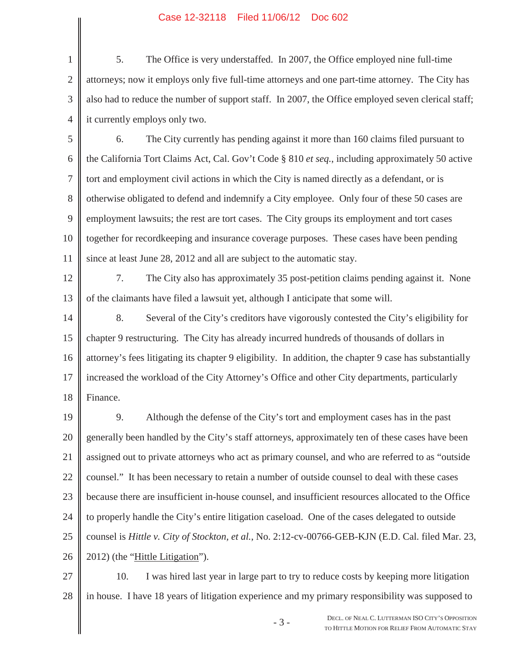## Case 12-32118 Filed 11/06/12 Doc 602

1 2 3 4 5. The Office is very understaffed. In 2007, the Office employed nine full-time attorneys; now it employs only five full-time attorneys and one part-time attorney. The City has also had to reduce the number of support staff. In 2007, the Office employed seven clerical staff; it currently employs only two.

5 6 7 8 9 10 11 6. The City currently has pending against it more than 160 claims filed pursuant to the California Tort Claims Act, Cal. Gov't Code § 810 *et seq.*, including approximately 50 active tort and employment civil actions in which the City is named directly as a defendant, or is otherwise obligated to defend and indemnify a City employee. Only four of these 50 cases are employment lawsuits; the rest are tort cases. The City groups its employment and tort cases together for recordkeeping and insurance coverage purposes. These cases have been pending since at least June 28, 2012 and all are subject to the automatic stay.

12 13 7. The City also has approximately 35 post-petition claims pending against it. None of the claimants have filed a lawsuit yet, although I anticipate that some will.

14 15 16 17 18 8. Several of the City's creditors have vigorously contested the City's eligibility for chapter 9 restructuring. The City has already incurred hundreds of thousands of dollars in attorney's fees litigating its chapter 9 eligibility. In addition, the chapter 9 case has substantially increased the workload of the City Attorney's Office and other City departments, particularly Finance.

19 20 21 22 23 24 25 26 9. Although the defense of the City's tort and employment cases has in the past generally been handled by the City's staff attorneys, approximately ten of these cases have been assigned out to private attorneys who act as primary counsel, and who are referred to as "outside counsel." It has been necessary to retain a number of outside counsel to deal with these cases because there are insufficient in-house counsel, and insufficient resources allocated to the Office to properly handle the City's entire litigation caseload. One of the cases delegated to outside counsel is *Hittle v. City of Stockton, et al.*, No. 2:12-cv-00766-GEB-KJN (E.D. Cal. filed Mar. 23, 2012) (the "Hittle Litigation").

27 28 10. I was hired last year in large part to try to reduce costs by keeping more litigation in house. I have 18 years of litigation experience and my primary responsibility was supposed to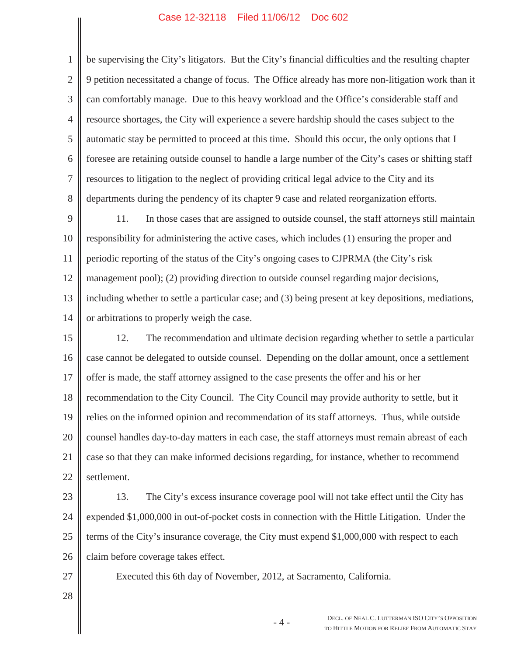## Case 12-32118 Filed 11/06/12 Doc 602

1 2 3 4 5 6 7 8 be supervising the City's litigators. But the City's financial difficulties and the resulting chapter 9 petition necessitated a change of focus. The Office already has more non-litigation work than it can comfortably manage. Due to this heavy workload and the Office's considerable staff and resource shortages, the City will experience a severe hardship should the cases subject to the automatic stay be permitted to proceed at this time. Should this occur, the only options that I foresee are retaining outside counsel to handle a large number of the City's cases or shifting staff resources to litigation to the neglect of providing critical legal advice to the City and its departments during the pendency of its chapter 9 case and related reorganization efforts.

9 10 11 12 13 14 11. In those cases that are assigned to outside counsel, the staff attorneys still maintain responsibility for administering the active cases, which includes (1) ensuring the proper and periodic reporting of the status of the City's ongoing cases to CJPRMA (the City's risk management pool); (2) providing direction to outside counsel regarding major decisions, including whether to settle a particular case; and (3) being present at key depositions, mediations, or arbitrations to properly weigh the case.

15 16 17 18 19 20 21 22 12. The recommendation and ultimate decision regarding whether to settle a particular case cannot be delegated to outside counsel. Depending on the dollar amount, once a settlement offer is made, the staff attorney assigned to the case presents the offer and his or her recommendation to the City Council. The City Council may provide authority to settle, but it relies on the informed opinion and recommendation of its staff attorneys. Thus, while outside counsel handles day-to-day matters in each case, the staff attorneys must remain abreast of each case so that they can make informed decisions regarding, for instance, whether to recommend settlement.

23

24 25 26 13. The City's excess insurance coverage pool will not take effect until the City has expended \$1,000,000 in out-of-pocket costs in connection with the Hittle Litigation. Under the terms of the City's insurance coverage, the City must expend \$1,000,000 with respect to each claim before coverage takes effect.

Executed this 6th day of November, 2012, at Sacramento, California.

- 27
- 28

-4 - DECL. OF NEAL C. LUTTERMAN ISO CITY'S OPPOSITION TO HITTLE MOTION FOR RELIEF FROM AUTOMATIC STAY